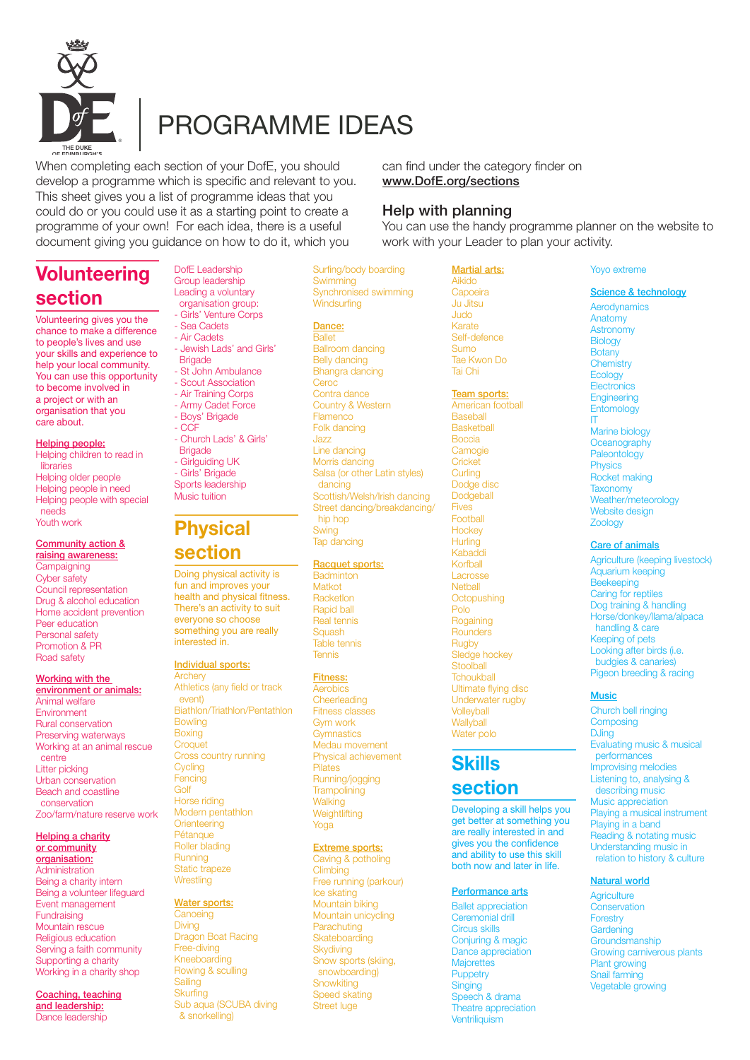

# PROGRAMME IDEAS

When completing each section of your DofE, you should develop a programme which is specific and relevant to you. This sheet gives you a list of programme ideas that you could do or you could use it as a starting point to create a programme of your own! For each idea, there is a useful document giving you guidance on how to do it, which you

DofE Leadership

# **Volunteering section**

Volunteering gives you the chance to make a difference to people's lives and use your skills and experience to help your local community. You can use this opportunity to become involved in a project or with an organisation that you care about.

#### Helping people: Helping children to read in

**libraries** Helping older people Helping people in need Helping people with special needs Youth work

# Community action & raising awareness:

**Campaigning** Cyber safety Council representation Drug & alcohol education Home accident prevention Peer education Personal safety Promotion & PR Road safety

#### Working with the environment or animals:

Animal welfare Environment Rural conservation Preserving waterways Working at an animal rescue centre Litter picking Urban conservation Beach and coastline conservation Zoo/farm/nature reserve work

#### Helping a charity or community organisation: Administration Being a charity intern

Being a volunteer lifeguard Event management Fundraising Mountain rescue Religious education Serving a faith community Supporting a charity Working in a charity shop

Coaching, teaching and leadership: Dance leadership

Group leadership Leading a voluntary organisation group: - Girls' Venture Corps - Sea Cadets - Air Cadets - Jewish Lads' and Girls' **Brigade** - St John Ambulance - Scout Association - Air Training Corps - Army Cadet Force - Boys' Brigade - CCF - Church Lads' & Girls' **Brigade** - Girlguiding UK - Girls' Brigade Sports leadership Music tuition

# **Physical section**

Doing physical activity is fun and improves your health and physical fitness. There's an activity to suit everyone so choose something you are really interested in.

#### Individual sports: **Archery**

Athletics (any field or track event) Biathlon/Triathlon/Pentathlon **Bowling** Boxing **Croquet** Cross country running **Cycling** Fencing Golf Horse riding Modern pentathlon **Orienteering** Pétanque Roller blading **Running** Static trapeze **Wrestling** 

# Water sports:

**Canoeing** Diving Dragon Boat Racing Free-diving Kneeboarding Rowing & sculling **Sailing Skurfing** Sub aqua (SCUBA diving & snorkelling)

can find under the category finder on www.DofE.org/sections

# Help with planning

You can use the handy programme planner on the website to work with your Leader to plan your activity.

Surfing/body boarding **Swimming** Synchronised swimming **Windsurfing** 

# Dance:

**Ballet** Ballroom dancing Belly dancing Bhangra dancing Ceroc Contra dance Country & Western **Flamenco** Folk dancing Jazz Line dancing Morris dancing Salsa (or other Latin styles) dancing Scottish/Welsh/Irish dancing Street dancing/breakdancing/ hip hop Swing Tap dancing

# Racquet sports:

**Badminton** Matkot Racketlon Rapid ball Real tennis **Squash** Table tennis Tennis

# Fitness:

**Aerobics Cheerleading** Fitness classes Gym work **Gymnastics** Medau movement Physical achievement Pilates Running/jogging **Trampolining Walking** Weightlifting Yoga

# Extreme sports:

Caving & potholing **Climbing** Free running (parkour) Ice skating Mountain biking Mountain unicycling Parachuting **Skateboarding Skydiving** Snow sports (skiing, snowboarding) **Snowkiting** Speed skating Street luge

Martial arts: Aikido **Capoeira** Ju Jitsu Judo Karate Self-defence Sumo Tae Kwon Do Tai Chi

# Team sports:

American football **Baseball Basketball** Boccia **Camogie Cricket Curling** Dodge disc **Dodgeball** Fives **Footbal Hockey Hurling** Kabaddi Korfball Lacrosse **Netball Octopushing** Polo **Rogaining Rounders** Rugby Sledge hockey **Stoolball Tchoukball** Ultimate flying disc Underwater rugby **Volleyball Wallyhall** Water polo

# **Skills section**

Developing a skill helps you get better at something you are really interested in and gives you the confidence and ability to use this skill both now and later in life.

# Performance arts

Ballet appreciation Ceremonial drill Circus skills Conjuring & magic Dance appreciation **Majorettes Puppetry** Singing Speech & drama Theatre appreciation **Ventriliquism** 

# Yoyo extreme

Science & technology Aerodynamics Anatomy **Astronomy Biology Botany** 

**Chemistry Ecology Electronics Engineering Entomology** IT Marine biology **Oceanography** Paleontology **Physics** Rocket making **Taxonomy** Weather/meteorology Website design Zoology

# Care of animals

Agriculture (keeping livestock) Aquarium keeping **Beekeeping** Caring for reptiles Dog training & handling Horse/donkey/llama/alpaca handling & care Keeping of pets Looking after birds (i.e. budgies & canaries) Pigeon breeding & racing

# **Music**

Church bell ringing **Composing DJing** Evaluating music & musical performances Improvising melodies Listening to, analysing & describing music Music appreciation Playing a musical instrument Playing in a band Reading & notating music Understanding music in relation to history & culture

# Natural world

**Agriculture Conservation Forestry Gardening Groundsmanship** Growing carniverous plants Plant growing Snail farming Vegetable growing